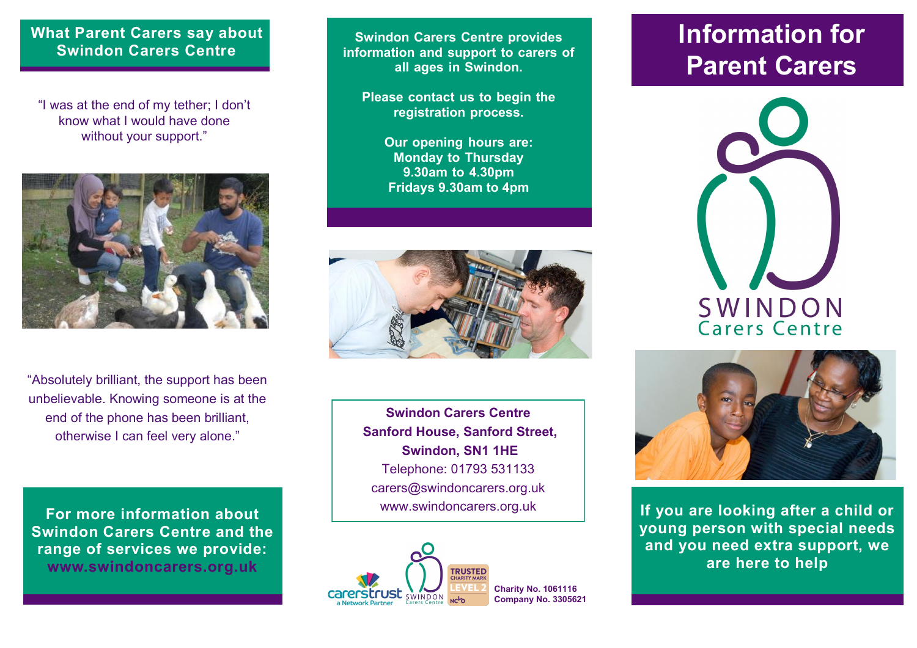#### **What Parent Carers say about Swindon Carers Centre**

"I was at the end of my tether; I don't know what I would have done without your support."



"Absolutely brilliant, the support has been unbelievable. Knowing someone is at the end of the phone has been brilliant, otherwise I can feel very alone."

**For more information about Swindon Carers Centre and the range of services we provide: www.swindoncarers.org.uk**

**Swindon Carers Centre provides information and support to carers of all ages in Swindon.** 

**Please contact us to begin the registration process.** 

> **Our opening hours are: Monday to Thursday 9.30am to 4.30pm Fridays 9.30am to 4pm**



**Swindon Carers Centre Sanford House, Sanford Street, Swindon, SN1 1HE** Telephone: 01793 531133 carers@swindoncarers.org.uk www.swindoncarers.org.uk



# **Information for Parent Carers**





**If you are looking after a child or young person with special needs and you need extra support, we are here to help**